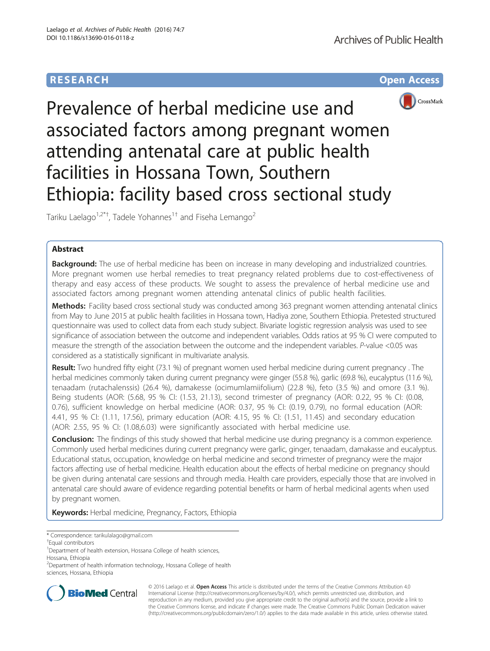## **RESEARCH CHE Open Access**



# Prevalence of herbal medicine use and associated factors among pregnant women attending antenatal care at public health facilities in Hossana Town, Southern Ethiopia: facility based cross sectional study

Tariku Laelago<sup>1,2\*†</sup>, Tadele Yohannes<sup>1†</sup> and Fiseha Lemango<sup>2</sup>

## Abstract

Background: The use of herbal medicine has been on increase in many developing and industrialized countries. More pregnant women use herbal remedies to treat pregnancy related problems due to cost-effectiveness of therapy and easy access of these products. We sought to assess the prevalence of herbal medicine use and associated factors among pregnant women attending antenatal clinics of public health facilities.

Methods: Facility based cross sectional study was conducted among 363 pregnant women attending antenatal clinics from May to June 2015 at public health facilities in Hossana town, Hadiya zone, Southern Ethiopia. Pretested structured questionnaire was used to collect data from each study subject. Bivariate logistic regression analysis was used to see significance of association between the outcome and independent variables. Odds ratios at 95 % CI were computed to measure the strength of the association between the outcome and the independent variables. P-value <0.05 was considered as a statistically significant in multivariate analysis.

Result: Two hundred fifty eight (73.1 %) of pregnant women used herbal medicine during current pregnancy. The herbal medicines commonly taken during current pregnancy were ginger (55.8 %), garlic (69.8 %), eucalyptus (11.6 %), tenaadam (rutachalenssis) (26.4 %), damakesse (ocimumlamiifolium) (22.8 %), feto (3.5 %) and omore (3.1 %). Being students (AOR: (5.68, 95 % CI: (1.53, 21.13), second trimester of pregnancy (AOR: 0.22, 95 % CI: (0.08, 0.76), sufficient knowledge on herbal medicine (AOR: 0.37, 95 % CI: (0.19, 0.79), no formal education (AOR: 4.41, 95 % CI: (1.11, 17.56), primary education (AOR: 4.15, 95 % CI: (1.51, 11.45) and secondary education (AOR: 2.55, 95 % CI: (1.08,6.03) were significantly associated with herbal medicine use.

**Conclusion:** The findings of this study showed that herbal medicine use during pregnancy is a common experience. Commonly used herbal medicines during current pregnancy were garlic, ginger, tenaadam, damakasse and eucalyptus. Educational status, occupation, knowledge on herbal medicine and second trimester of pregnancy were the major factors affecting use of herbal medicine. Health education about the effects of herbal medicine on pregnancy should be given during antenatal care sessions and through media. Health care providers, especially those that are involved in antenatal care should aware of evidence regarding potential benefits or harm of herbal medicinal agents when used by pregnant women.

Keywords: Herbal medicine, Pregnancy, Factors, Ethiopia

<sup>2</sup>Department of health information technology, Hossana College of health sciences, Hossana, Ethiopia



© 2016 Laelago et al. Open Access This article is distributed under the terms of the Creative Commons Attribution 4.0 International License [\(http://creativecommons.org/licenses/by/4.0/](http://creativecommons.org/licenses/by/4.0/)), which permits unrestricted use, distribution, and reproduction in any medium, provided you give appropriate credit to the original author(s) and the source, provide a link to the Creative Commons license, and indicate if changes were made. The Creative Commons Public Domain Dedication waiver [\(http://creativecommons.org/publicdomain/zero/1.0/](http://creativecommons.org/publicdomain/zero/1.0/)) applies to the data made available in this article, unless otherwise stated.

<sup>\*</sup> Correspondence: [tarikulalago@gmail.com](mailto:tarikulalago@gmail.com) †

Equal contributors

<sup>&</sup>lt;sup>1</sup>Department of health extension, Hossana College of health sciences, Hossana, Ethiopia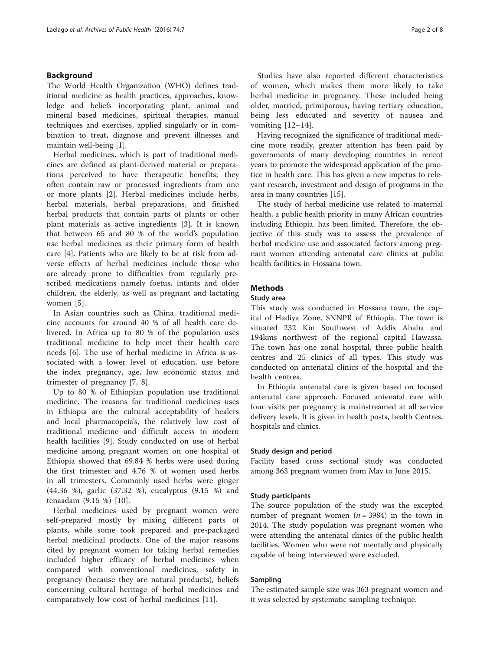## Background

The World Health Organization (WHO) defines traditional medicine as health practices, approaches, knowledge and beliefs incorporating plant, animal and mineral based medicines, spiritual therapies, manual techniques and exercises, applied singularly or in combination to treat, diagnose and prevent illnesses and maintain well-being [[1\]](#page-7-0).

Herbal medicines, which is part of traditional medicines are defined as plant-derived material or preparations perceived to have therapeutic benefits; they often contain raw or processed ingredients from one or more plants [\[2](#page-7-0)]. Herbal medicines include herbs, herbal materials, herbal preparations, and finished herbal products that contain parts of plants or other plant materials as active ingredients [\[3](#page-7-0)]. It is known that between 65 and 80 % of the world's population use herbal medicines as their primary form of health care [[4](#page-7-0)]. Patients who are likely to be at risk from adverse effects of herbal medicines include those who are already prone to difficulties from regularly prescribed medications namely foetus, infants and older children, the elderly, as well as pregnant and lactating women [\[5](#page-7-0)].

In Asian countries such as China, traditional medicine accounts for around 40 % of all health care delivered. In Africa up to 80 % of the population uses traditional medicine to help meet their health care needs [[6\]](#page-7-0). The use of herbal medicine in Africa is associated with a lower level of education, use before the index pregnancy, age, low economic status and trimester of pregnancy [[7, 8\]](#page-7-0).

Up to 80 % of Ethiopian population use traditional medicine. The reasons for traditional medicines uses in Ethiopia are the cultural acceptability of healers and local pharmacopeia's, the relatively low cost of traditional medicine and difficult access to modern health facilities [\[9](#page-7-0)]. Study conducted on use of herbal medicine among pregnant women on one hospital of Ethiopia showed that 69.84 % herbs were used during the first trimester and 4.76 % of women used herbs in all trimesters. Commonly used herbs were ginger (44.36 %), garlic (37.32 %), eucalyptus (9.15 %) and tenaadam (9.15 %) [[10\]](#page-7-0).

Herbal medicines used by pregnant women were self-prepared mostly by mixing different parts of plants, while some took prepared and pre-packaged herbal medicinal products. One of the major reasons cited by pregnant women for taking herbal remedies included higher efficacy of herbal medicines when compared with conventional medicines, safety in pregnancy (because they are natural products), beliefs concerning cultural heritage of herbal medicines and comparatively low cost of herbal medicines [\[11](#page-7-0)].

Studies have also reported different characteristics of women, which makes them more likely to take herbal medicine in pregnancy. These included being older, married, primiparous, having tertiary education, being less educated and severity of nausea and vomiting [\[12](#page-7-0)–[14\]](#page-7-0).

Having recognized the significance of traditional medicine more readily, greater attention has been paid by governments of many developing countries in recent years to promote the widespread application of the practice in health care. This has given a new impetus to relevant research, investment and design of programs in the area in many countries [[15\]](#page-7-0).

The study of herbal medicine use related to maternal health, a public health priority in many African countries including Ethiopia, has been limited. Therefore, the objective of this study was to assess the prevalence of herbal medicine use and associated factors among pregnant women attending antenatal care clinics at public health facilities in Hossana town.

## **Methods**

## Study area

This study was conducted in Hossana town, the capital of Hadiya Zone, SNNPR of Ethiopia. The town is situated 232 Km Southwest of Addis Ababa and 194kms northwest of the regional capital Hawassa. The town has one zonal hospital, three public health centres and 25 clinics of all types. This study was conducted on antenatal clinics of the hospital and the health centres.

In Ethiopia antenatal care is given based on focused antenatal care approach. Focused antenatal care with four visits per pregnancy is mainstreamed at all service delivery levels. It is given in health posts, health Centres, hospitals and clinics.

## Study design and period

Facility based cross sectional study was conducted among 363 pregnant women from May to June 2015.

## Study participants

The source population of the study was the excepted number of pregnant women ( $n = 3984$ ) in the town in 2014. The study population was pregnant women who were attending the antenatal clinics of the public health facilities. Women who were not mentally and physically capable of being interviewed were excluded.

## Sampling

The estimated sample size was 363 pregnant women and it was selected by systematic sampling technique.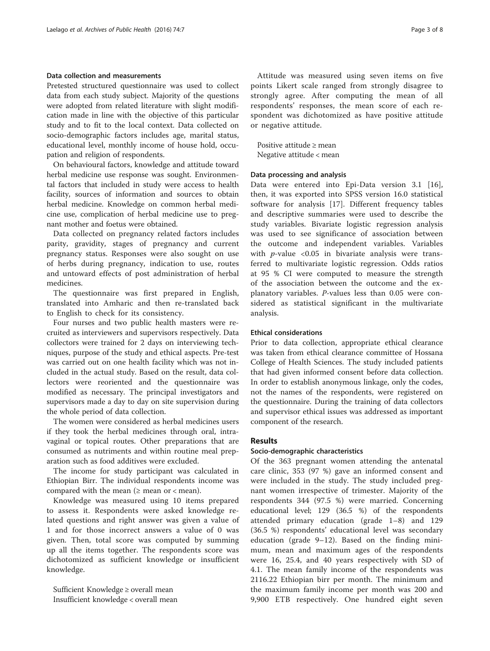## Data collection and measurements

Pretested structured questionnaire was used to collect data from each study subject. Majority of the questions were adopted from related literature with slight modification made in line with the objective of this particular study and to fit to the local context. Data collected on socio-demographic factors includes age, marital status, educational level, monthly income of house hold, occupation and religion of respondents.

On behavioural factors, knowledge and attitude toward herbal medicine use response was sought. Environmental factors that included in study were access to health facility, sources of information and sources to obtain herbal medicine. Knowledge on common herbal medicine use, complication of herbal medicine use to pregnant mother and foetus were obtained.

Data collected on pregnancy related factors includes parity, gravidity, stages of pregnancy and current pregnancy status. Responses were also sought on use of herbs during pregnancy, indication to use, routes and untoward effects of post administration of herbal medicines.

The questionnaire was first prepared in English, translated into Amharic and then re-translated back to English to check for its consistency.

Four nurses and two public health masters were recruited as interviewers and supervisors respectively. Data collectors were trained for 2 days on interviewing techniques, purpose of the study and ethical aspects. Pre-test was carried out on one health facility which was not included in the actual study. Based on the result, data collectors were reoriented and the questionnaire was modified as necessary. The principal investigators and supervisors made a day to day on site supervision during the whole period of data collection.

The women were considered as herbal medicines users if they took the herbal medicines through oral, intravaginal or topical routes. Other preparations that are consumed as nutriments and within routine meal preparation such as food additives were excluded.

The income for study participant was calculated in Ethiopian Birr. The individual respondents income was compared with the mean  $(≥$  mean or  $<$  mean).

Knowledge was measured using 10 items prepared to assess it. Respondents were asked knowledge related questions and right answer was given a value of 1 and for those incorrect answers a value of 0 was given. Then, total score was computed by summing up all the items together. The respondents score was dichotomized as sufficient knowledge or insufficient knowledge.

Sufficient Knowledge ≥ overall mean Insufficient knowledge < overall mean

Attitude was measured using seven items on five points Likert scale ranged from strongly disagree to strongly agree. After computing the mean of all respondents' responses, the mean score of each respondent was dichotomized as have positive attitude or negative attitude.

Positive attitude ≥ mean Negative attitude < mean

#### Data processing and analysis

Data were entered into Epi-Data version 3.1 [\[16](#page-7-0)], then, it was exported into SPSS version 16.0 statistical software for analysis [[17\]](#page-7-0). Different frequency tables and descriptive summaries were used to describe the study variables. Bivariate logistic regression analysis was used to see significance of association between the outcome and independent variables. Variables with *p*-value < $0.05$  in bivariate analysis were transferred to multivariate logistic regression. Odds ratios at 95 % CI were computed to measure the strength of the association between the outcome and the explanatory variables. P-values less than 0.05 were considered as statistical significant in the multivariate analysis.

## Ethical considerations

Prior to data collection, appropriate ethical clearance was taken from ethical clearance committee of Hossana College of Health Sciences. The study included patients that had given informed consent before data collection. In order to establish anonymous linkage, only the codes, not the names of the respondents, were registered on the questionnaire. During the training of data collectors and supervisor ethical issues was addressed as important component of the research.

## Results

#### Socio-demographic characteristics

Of the 363 pregnant women attending the antenatal care clinic, 353 (97 %) gave an informed consent and were included in the study. The study included pregnant women irrespective of trimester. Majority of the respondents 344 (97.5 %) were married. Concerning educational level; 129 (36.5 %) of the respondents attended primary education (grade 1–8) and 129 (36.5 %) respondents' educational level was secondary education (grade 9–12). Based on the finding minimum, mean and maximum ages of the respondents were 16, 25.4, and 40 years respectively with SD of 4.1. The mean family income of the respondents was 2116.22 Ethiopian birr per month. The minimum and the maximum family income per month was 200 and 9,900 ETB respectively. One hundred eight seven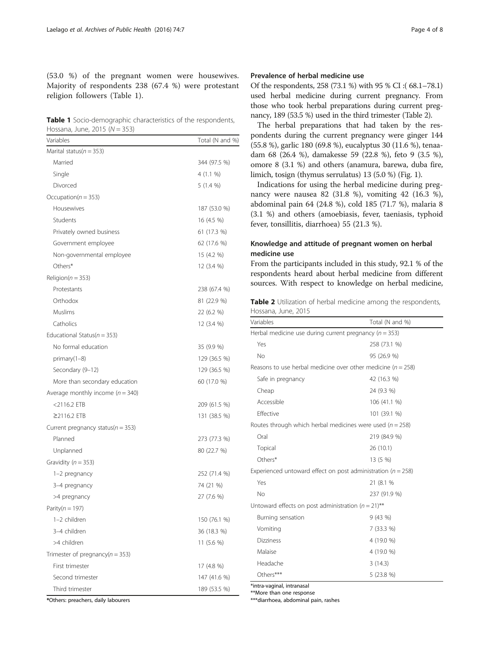<span id="page-3-0"></span>(53.0 %) of the pregnant women were housewives. Majority of respondents 238 (67.4 %) were protestant religion followers (Table 1).

Table 1 Socio-demographic characteristics of the respondents, Hossana, June,  $2015(N - 353)$ 

| Variables                             | Total (N and %) |
|---------------------------------------|-----------------|
| Marital status( $n = 353$ )           |                 |
| Married                               | 344 (97.5 %)    |
| Single                                | 4(1.1%          |
| Divorced                              | 5 (1.4 %)       |
| Occupation( $n = 353$ )               |                 |
| Housewives                            | 187 (53.0 %)    |
| Students                              | 16 (4.5 %)      |
| Privately owned business              | 61 (17.3 %)     |
| Government employee                   | 62 (17.6 %)     |
| Non-governmental employee             | 15 (4.2 %)      |
| Others*                               | 12 (3.4 %)      |
| Religion( $n = 353$ )                 |                 |
| Protestants                           | 238 (67.4 %)    |
| Orthodox                              | 81 (22.9 %)     |
| Muslims                               | 22 (6.2 %)      |
| Catholics                             | 12 (3.4 %)      |
| Educational Status( $n = 353$ )       |                 |
| No formal education                   | 35 (9.9 %)      |
| $primary(1-8)$                        | 129 (36.5 %)    |
| Secondary (9-12)                      | 129 (36.5 %)    |
| More than secondary education         | 60 (17.0 %)     |
| Average monthly income ( $n = 340$ )  |                 |
| $<$ 2116.2 ETB                        | 209 (61.5 %)    |
| ≥2116.2 ETB                           | 131 (38.5 %)    |
| Current pregnancy status( $n = 353$ ) |                 |
| Planned                               | 273 (77.3 %)    |
| Unplanned                             | 80 (22.7 %)     |
| Gravidity ( $n = 353$ )               |                 |
| 1-2 pregnancy                         | 252 (71.4 %)    |
| 3-4 pregnancy                         | 74 (21 %)       |
| >4 pregnancy                          | 27 (7.6 %)      |
| Parity( $n = 197$ )                   |                 |
| 1-2 children                          | 150 (76.1 %)    |
| 3-4 children                          | 36 (18.3 %)     |
| >4 children                           | 11 (5.6 %)      |
| Trimester of pregnancy( $n = 353$ )   |                 |
| First trimester                       | 17 (4.8 %)      |
| Second trimester                      | 147 (41.6 %)    |
| Third trimester                       | 189 (53.5 %)    |

## Prevalence of herbal medicine use

Of the respondents, 258 (73.1 %) with 95 % CI :( 68.1–78.1) used herbal medicine during current pregnancy. From those who took herbal preparations during current pregnancy, 189 (53.5 %) used in the third trimester (Table 2).

The herbal preparations that had taken by the respondents during the current pregnancy were ginger 144 (55.8 %), garlic 180 (69.8 %), eucalyptus 30 (11.6 %), tenaadam 68 (26.4 %), damakesse 59 (22.8 %), feto 9 (3.5 %), omore 8 (3.1 %) and others (anamura, barewa, duba fire, limich, tosign (thymus serrulatus) 13 (5.0 %) (Fig. [1](#page-4-0)).

Indications for using the herbal medicine during pregnancy were nausea 82 (31.8 %), vomiting 42 (16.3 %), abdominal pain 64 (24.8 %), cold 185 (71.7 %), malaria 8 (3.1 %) and others (amoebiasis, fever, taeniasis, typhoid fever, tonsillitis, diarrhoea) 55 (21.3 %).

## Knowledge and attitude of pregnant women on herbal medicine use

From the participants included in this study, 92.1 % of the respondents heard about herbal medicine from different sources. With respect to knowledge on herbal medicine,

Table 2 Utilization of herbal medicine among the respondents, Hossana, June, 2015

| Variables<br>Total (N and %)                                     |              |  |  |  |
|------------------------------------------------------------------|--------------|--|--|--|
| Herbal medicine use during current pregnancy ( $n = 353$ )       |              |  |  |  |
| Yes                                                              | 258 (73.1 %) |  |  |  |
| No                                                               | 95 (26.9 %)  |  |  |  |
| Reasons to use herbal medicine over other medicine ( $n = 258$ ) |              |  |  |  |
| Safe in pregnancy                                                | 42 (16.3 %)  |  |  |  |
| Cheap                                                            | 24 (9.3 %)   |  |  |  |
| Accessible<br>106 (41.1 %)                                       |              |  |  |  |
| Effective                                                        | 101 (39.1 %) |  |  |  |
| Routes through which herbal medicines were used ( $n = 258$ )    |              |  |  |  |
| Oral                                                             | 219 (84.9 %) |  |  |  |
| Topical                                                          | 26(10.1)     |  |  |  |
| Others*                                                          | 13 (5 %)     |  |  |  |
| Experienced untoward effect on post administration ( $n = 258$ ) |              |  |  |  |
| Yes                                                              | 21 (8.1 %    |  |  |  |
| No                                                               | 237 (91.9 %) |  |  |  |
| Untoward effects on post administration ( $n = 21$ )**           |              |  |  |  |
| Burning sensation                                                | 9(43%)       |  |  |  |
| Vomiting                                                         | 7(33.3%)     |  |  |  |
| <b>Dizziness</b>                                                 | 4 (19.0 %)   |  |  |  |
| Malaise                                                          | 4 (19.0 %)   |  |  |  |
| Headache                                                         | 3(14.3)      |  |  |  |
| Others***                                                        | 5(23.8%)     |  |  |  |

\*intra-vaginal, intranasal

\*\*More than one response

\*\*\*diarrhoea, abdominal pain, rashes

\*Others: preachers, daily labourers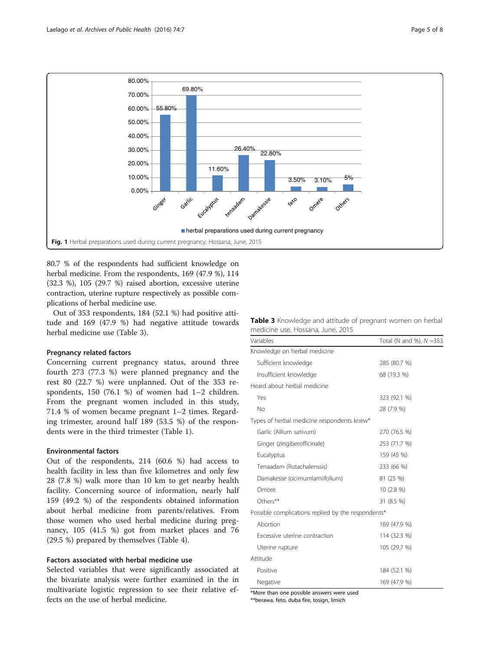<span id="page-4-0"></span>

80.7 % of the respondents had sufficient knowledge on herbal medicine. From the respondents, 169 (47.9 %), 114 (32.3 %), 105 (29.7 %) raised abortion, excessive uterine contraction, uterine rupture respectively as possible complications of herbal medicine use.

Out of 353 respondents, 184 (52.1 %) had positive attitude and 169 (47.9 %) had negative attitude towards herbal medicine use (Table 3).

#### Pregnancy related factors

Concerning current pregnancy status, around three fourth 273 (77.3 %) were planned pregnancy and the rest 80 (22.7 %) were unplanned. Out of the 353 respondents, 150 (76.1 %) of women had 1–2 children. From the pregnant women included in this study, 71.4 % of women became pregnant 1–2 times. Regarding trimester, around half 189 (53.5 %) of the respondents were in the third trimester (Table [1\)](#page-3-0).

#### Environmental factors

Out of the respondents, 214 (60.6 %) had access to health facility in less than five kilometres and only few 28 (7.8 %) walk more than 10 km to get nearby health facility. Concerning source of information, nearly half 159 (49.2 %) of the respondents obtained information about herbal medicine from parents/relatives. From those women who used herbal medicine during pregnancy, 105 (41.5 %) got from market places and 76 (29.5 %) prepared by themselves (Table [4\)](#page-5-0).

## Factors associated with herbal medicine use

Selected variables that were significantly associated at the bivariate analysis were further examined in the in multivariate logistic regression to see their relative effects on the use of herbal medicine.

|  |  |                                   | Table 3 Knowledge and attitude of pregnant women on herbal |  |  |
|--|--|-----------------------------------|------------------------------------------------------------|--|--|
|  |  | medicine use, Hossana, June, 2015 |                                                            |  |  |

| Variables                                          | Total (N and %), $N = 353$ |  |  |  |
|----------------------------------------------------|----------------------------|--|--|--|
| Knowledge on herbal medicine                       |                            |  |  |  |
| Sufficient knowledge                               | 285 (80.7 %)               |  |  |  |
| Insufficient knowledge                             | 68 (19.3 %)                |  |  |  |
| Heard about herbal medicine                        |                            |  |  |  |
| Yes                                                | 323 (92.1 %)               |  |  |  |
| No                                                 | 28 (7.9 %)                 |  |  |  |
| Types of herbal medicine respondents knew*         |                            |  |  |  |
| Garlic (Allium sativum)                            | 270 (76.5 %)               |  |  |  |
| Ginger (zingiberofficinale)                        | 253 (71.7 %)               |  |  |  |
| Eucalyptus                                         | 159 (45 %)                 |  |  |  |
| Tenaadam (Rutachalenssis)                          | 233 (66 %)                 |  |  |  |
| Damakesse (ocimumlamiifolium)                      | 81 (25 %)                  |  |  |  |
| Omore                                              | $10(2.8\%)$                |  |  |  |
| Others**                                           | 31 (8.5 %)                 |  |  |  |
| Possible complications replied by the respondents* |                            |  |  |  |
| Abortion                                           | 169 (47.9 %)               |  |  |  |
| Excessive uterine contraction                      | 114 (32.3 %)               |  |  |  |
| Uterine rupture                                    | 105 (29.7 %)               |  |  |  |
| Attitude                                           |                            |  |  |  |
| Positive                                           | 184 (52.1 %)               |  |  |  |
| Negative                                           | 169 (47.9 %)               |  |  |  |

\*More than one possible answers were used

\*\*berawa, feto, duba fire, tosign, limich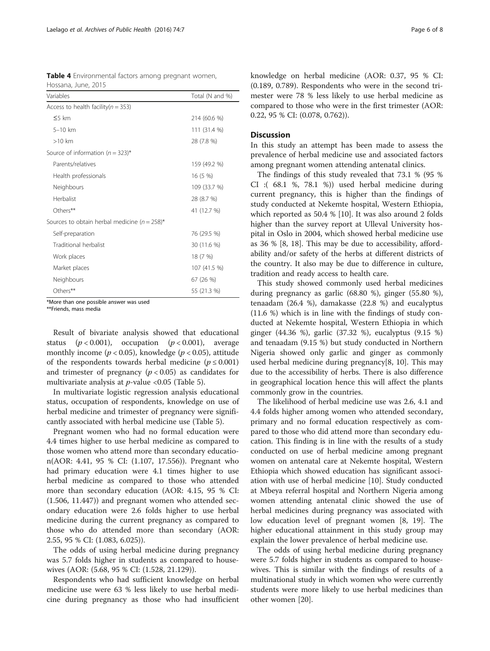<span id="page-5-0"></span>

| Table 4 Environmental factors among pregnant women, |  |  |
|-----------------------------------------------------|--|--|
| Hossana, June, 2015                                 |  |  |

| Variables                                        | Total (N and %) |
|--------------------------------------------------|-----------------|
| Access to health facility ( $n = 353$ )          |                 |
| 55 km                                            | 214 (60.6 %)    |
| $5-10$ km                                        | 111 (31.4 %)    |
| $>10$ km                                         | 28 (7.8 %)      |
| Source of information $(n = 323)^*$              |                 |
| Parents/relatives                                | 159 (49.2 %)    |
| Health professionals                             | 16 (5 %)        |
| Neighbours                                       | 109 (33.7 %)    |
| Herbalist                                        | 28 (8.7 %)      |
| Others**                                         | 41 (12.7 %)     |
| Sources to obtain herbal medicine ( $n = 258$ )* |                 |
| Self-preparation                                 | 76 (29.5 %)     |
| Traditional herbalist                            | 30 (11.6 %)     |
| Work places                                      | 18 (7 %)        |
| Market places                                    | 107 (41.5 %)    |
| Neighbours                                       | 67 (26 %)       |
| Others**                                         | 55 (21.3 %)     |

\*More than one possible answer was used

\*\*Friends, mass media

Result of bivariate analysis showed that educational status  $(p < 0.001)$ , occupation  $(p < 0.001)$ , average monthly income ( $p < 0.05$ ), knowledge ( $p < 0.05$ ), attitude of the respondents towards herbal medicine ( $p \le 0.001$ ) and trimester of pregnancy  $(p < 0.05)$  as candidates for multivariate analysis at  $p$ -value <0.05 (Table [5](#page-6-0)).

In multivariate logistic regression analysis educational status, occupation of respondents, knowledge on use of herbal medicine and trimester of pregnancy were significantly associated with herbal medicine use (Table [5](#page-6-0)).

Pregnant women who had no formal education were 4.4 times higher to use herbal medicine as compared to those women who attend more than secondary education(AOR: 4.41, 95 % CI: (1.107, 17.556)). Pregnant who had primary education were 4.1 times higher to use herbal medicine as compared to those who attended more than secondary education (AOR: 4.15, 95 % CI: (1.506, 11.447)) and pregnant women who attended secondary education were 2.6 folds higher to use herbal medicine during the current pregnancy as compared to those who do attended more than secondary (AOR: 2.55, 95 % CI: (1.083, 6.025)).

The odds of using herbal medicine during pregnancy was 5.7 folds higher in students as compared to housewives (AOR: (5.68, 95 % CI: (1.528, 21.129)).

Respondents who had sufficient knowledge on herbal medicine use were 63 % less likely to use herbal medicine during pregnancy as those who had insufficient knowledge on herbal medicine (AOR: 0.37, 95 % CI: (0.189, 0.789). Respondents who were in the second trimester were 78 % less likely to use herbal medicine as compared to those who were in the first trimester (AOR: 0.22, 95 % CI: (0.078, 0.762)).

## **Discussion**

In this study an attempt has been made to assess the prevalence of herbal medicine use and associated factors among pregnant women attending antenatal clinics.

The findings of this study revealed that 73.1 % (95 % CI :( 68.1 %, 78.1 %)) used herbal medicine during current pregnancy, this is higher than the findings of study conducted at Nekemte hospital, Western Ethiopia, which reported as 50.4 % [\[10](#page-7-0)]. It was also around 2 folds higher than the survey report at Ulleval University hospital in Oslo in 2004, which showed herbal medicine use as 36 % [\[8](#page-7-0), [18](#page-7-0)]. This may be due to accessibility, affordability and/or safety of the herbs at different districts of the country. It also may be due to difference in culture, tradition and ready access to health care.

This study showed commonly used herbal medicines during pregnancy as garlic (68.80 %), ginger (55.80 %), tenaadam (26.4 %), damakasse (22.8 %) and eucalyptus (11.6 %) which is in line with the findings of study conducted at Nekemte hospital, Western Ethiopia in which ginger (44.36 %), garlic (37.32 %), eucalyptus (9.15 %) and tenaadam (9.15 %) but study conducted in Northern Nigeria showed only garlic and ginger as commonly used herbal medicine during pregnancy[\[8](#page-7-0), [10\]](#page-7-0). This may due to the accessibility of herbs. There is also difference in geographical location hence this will affect the plants commonly grow in the countries.

The likelihood of herbal medicine use was 2.6, 4.1 and 4.4 folds higher among women who attended secondary, primary and no formal education respectively as compared to those who did attend more than secondary education. This finding is in line with the results of a study conducted on use of herbal medicine among pregnant women on antenatal care at Nekemte hospital, Western Ethiopia which showed education has significant association with use of herbal medicine [[10\]](#page-7-0). Study conducted at Mbeya referral hospital and Northern Nigeria among women attending antenatal clinic showed the use of herbal medicines during pregnancy was associated with low education level of pregnant women [[8, 19](#page-7-0)]. The higher educational attainment in this study group may explain the lower prevalence of herbal medicine use.

The odds of using herbal medicine during pregnancy were 5.7 folds higher in students as compared to housewives. This is similar with the findings of results of a multinational study in which women who were currently students were more likely to use herbal medicines than other women [\[20](#page-7-0)].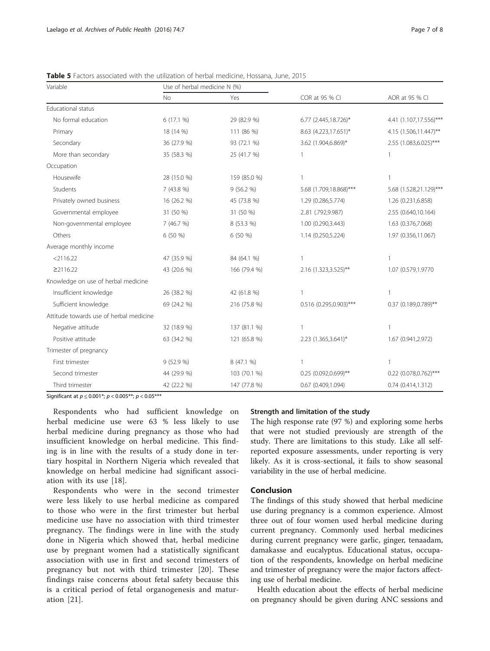| Variable                                | Use of herbal medicine N (%) |              |                        |                         |  |
|-----------------------------------------|------------------------------|--------------|------------------------|-------------------------|--|
|                                         | No                           | Yes          | COR at 95 % CI         | AOR at 95 % CI          |  |
| <b>Educational status</b>               |                              |              |                        |                         |  |
| No formal education                     | 6(17.1%                      | 29 (82.9 %)  | 6.77 (2.445,18.726)*   | 4.41 (1.107,17.556)***  |  |
| Primary                                 | 18 (14 %)                    | 111 (86 %)   | 8.63 (4.223,17.651)*   | 4.15 (1.506,11.447)**   |  |
| Secondary                               | 36 (27.9 %)                  | 93 (72.1 %)  | 3.62 (1.904,6.869)*    | 2.55 (1.083,6.025)***   |  |
| More than secondary                     | 35 (58.3 %)                  | 25 (41.7 %)  | 1                      | 1                       |  |
| Occupation                              |                              |              |                        |                         |  |
| Housewife                               | 28 (15.0 %)                  | 159 (85.0 %) | $\mathbf{1}$           | $\mathbf{1}$            |  |
| Students                                | 7(43.8%)                     | 9(56.2%      | 5.68 (1.709,18.868)*** | 5.68 (1.528,21.129)***  |  |
| Privately owned business                | 16 (26.2 %)                  | 45 (73.8 %)  | 1.29 (0.286,5.774)     | 1.26 (0.231,6.858)      |  |
| Governmental employee                   | 31 (50 %)                    | 31 (50 %)    | 2.81 (.792,9.987)      | 2.55 (0.640,10.164)     |  |
| Non-governmental employee               | 7 (46.7 %)                   | 8 (53.3 %)   | 1.00 (0.290,3.443)     | 1.63 (0.376,7.068)      |  |
| Others                                  | 6 (50 %)                     | 6 (50 %)     | 1.14 (0.250,5.224)     | 1.97 (0.356,11.067)     |  |
| Average monthly income                  |                              |              |                        |                         |  |
| $<$ 2116.22                             | 47 (35.9 %)                  | 84 (64.1 %)  | 1                      | 1                       |  |
| $\geq$ 2116.22                          | 43 (20.6 %)                  | 166 (79.4 %) | 2.16 (1.323,3.525)**   | 1.07 (0.579,1.9770      |  |
| Knowledge on use of herbal medicine     |                              |              |                        |                         |  |
| Insufficient knowledge                  | 26 (38.2 %)                  | 42 (61.8 %)  | $\mathbf{1}$           | 1                       |  |
| Sufficient knowledge                    | 69 (24.2 %)                  | 216 (75.8 %) | 0.516 (0.295,0.903)*** | 0.37 (0.189,0.789)**    |  |
| Attitude towards use of herbal medicine |                              |              |                        |                         |  |
| Negative attitude                       | 32 (18.9 %)                  | 137 (81.1 %) | $\mathbf{1}$           | 1                       |  |
| Positive attitude                       | 63 (34.2 %)                  | 121 (65.8 %) | 2.23 (1.365,3.641)*    | 1.67 (0.941,2.972)      |  |
| Trimester of pregnancy                  |                              |              |                        |                         |  |
| First trimester                         | 9 (52.9 %)                   | 8 (47.1 %)   | $\mathbf{1}$           | 1                       |  |
| Second trimester                        | 44 (29.9 %)                  | 103 (70.1 %) | 0.25 (0.092,0.699)**   | 0.22 (0.078,0.762)***   |  |
| Third trimester                         | 42 (22.2 %)                  | 147 (77.8 %) | 0.67 (0.409,1.094)     | $0.74$ $(0.414, 1.312)$ |  |

<span id="page-6-0"></span>Table 5 Factors associated with the utilization of herbal medicine, Hossana, June, 2015

Significant at  $p \le 0.001^*$ ;  $p < 0.005^{**}$ ;  $p < 0.05^{***}$ 

Respondents who had sufficient knowledge on herbal medicine use were 63 % less likely to use herbal medicine during pregnancy as those who had insufficient knowledge on herbal medicine. This finding is in line with the results of a study done in tertiary hospital in Northern Nigeria which revealed that knowledge on herbal medicine had significant association with its use [[18\]](#page-7-0).

Respondents who were in the second trimester were less likely to use herbal medicine as compared to those who were in the first trimester but herbal medicine use have no association with third trimester pregnancy. The findings were in line with the study done in Nigeria which showed that, herbal medicine use by pregnant women had a statistically significant association with use in first and second trimesters of pregnancy but not with third trimester [[20](#page-7-0)]. These findings raise concerns about fetal safety because this is a critical period of fetal organogenesis and maturation [\[21](#page-7-0)].

#### Strength and limitation of the study

The high response rate (97 %) and exploring some herbs that were not studied previously are strength of the study. There are limitations to this study. Like all selfreported exposure assessments, under reporting is very likely. As it is cross-sectional, it fails to show seasonal variability in the use of herbal medicine.

## Conclusion

The findings of this study showed that herbal medicine use during pregnancy is a common experience. Almost three out of four women used herbal medicine during current pregnancy. Commonly used herbal medicines during current pregnancy were garlic, ginger, tenaadam, damakasse and eucalyptus. Educational status, occupation of the respondents, knowledge on herbal medicine and trimester of pregnancy were the major factors affecting use of herbal medicine.

Health education about the effects of herbal medicine on pregnancy should be given during ANC sessions and